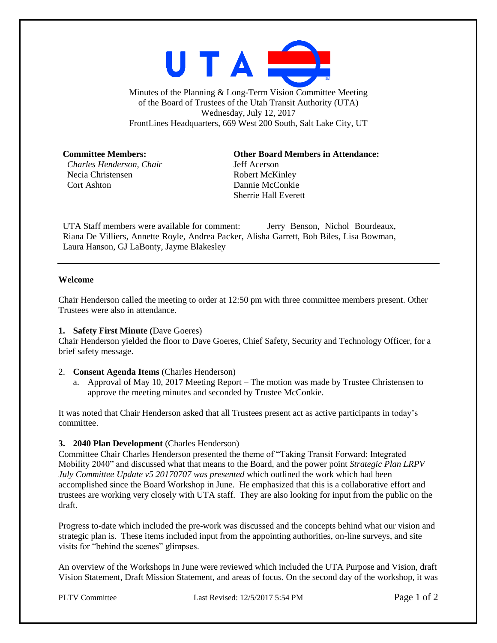

Minutes of the Planning & Long-Term Vision Committee Meeting of the Board of Trustees of the Utah Transit Authority (UTA) Wednesday, July 12, 2017 FrontLines Headquarters, 669 West 200 South, Salt Lake City, UT

*Charles Henderson, Chair* Jeff Acerson Necia Christensen Robert McKinley Cort Ashton Dannie McConkie

**Committee Members: Other Board Members in Attendance:** Sherrie Hall Everett

UTA Staff members were available for comment: Jerry Benson, Nichol Bourdeaux, Riana De Villiers, Annette Royle, Andrea Packer, Alisha Garrett, Bob Biles, Lisa Bowman, Laura Hanson, GJ LaBonty, Jayme Blakesley

## **Welcome**

Chair Henderson called the meeting to order at 12:50 pm with three committee members present. Other Trustees were also in attendance.

## **1. Safety First Minute (**Dave Goeres)

Chair Henderson yielded the floor to Dave Goeres, Chief Safety, Security and Technology Officer, for a brief safety message.

## 2. **Consent Agenda Items** (Charles Henderson)

a. Approval of May 10, 2017 Meeting Report – The motion was made by Trustee Christensen to approve the meeting minutes and seconded by Trustee McConkie.

It was noted that Chair Henderson asked that all Trustees present act as active participants in today's committee.

## **3. 2040 Plan Development** (Charles Henderson)

Committee Chair Charles Henderson presented the theme of "Taking Transit Forward: Integrated Mobility 2040" and discussed what that means to the Board, and the power point *Strategic Plan LRPV July Committee Update v5 20170707 was presented* which outlined the work which had been accomplished since the Board Workshop in June. He emphasized that this is a collaborative effort and trustees are working very closely with UTA staff. They are also looking for input from the public on the draft.

Progress to-date which included the pre-work was discussed and the concepts behind what our vision and strategic plan is. These items included input from the appointing authorities, on-line surveys, and site visits for "behind the scenes" glimpses.

An overview of the Workshops in June were reviewed which included the UTA Purpose and Vision, draft Vision Statement, Draft Mission Statement, and areas of focus. On the second day of the workshop, it was